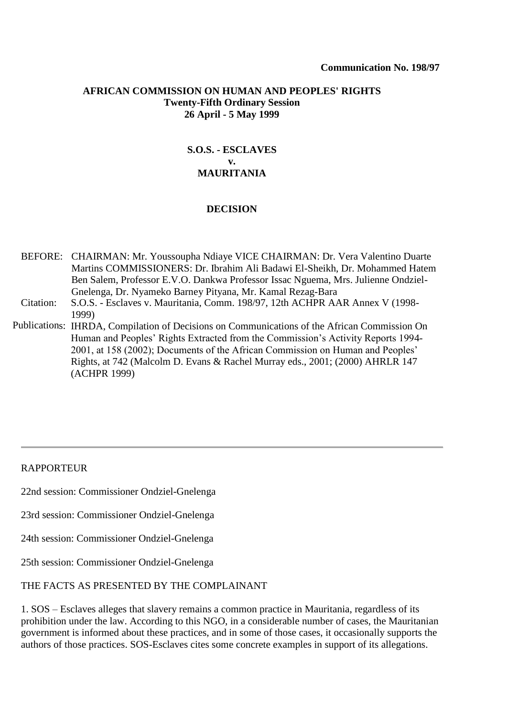#### **AFRICAN COMMISSION ON HUMAN AND PEOPLES' RIGHTS Twenty-Fifth Ordinary Session 26 April - 5 May 1999**

# **S.O.S. - ESCLAVES v. MAURITANIA**

### **DECISION**

BEFORE: CHAIRMAN: Mr. Youssoupha Ndiaye VICE CHAIRMAN: Dr. Vera Valentino Duarte Martins COMMISSIONERS: Dr. Ibrahim Ali Badawi El-Sheikh, Dr. Mohammed Hatem Ben Salem, Professor E.V.O. Dankwa Professor Issac Nguema, Mrs. Julienne Ondziel-Gnelenga, Dr. Nyameko Barney Pityana, Mr. Kamal Rezag-Bara

- Citation: S.O.S. Esclaves v. Mauritania, Comm. 198/97, 12th ACHPR AAR Annex V (1998- [1999\)](http://www.worldcourts.com/achpr/eng/decisions/1999.05.05_SOS_Esclaves_v_Mauritania.htm)
- Publications: [IHRDA](http://www.worldcourts.com/achpr/eng/decisions/1999.05.05_SOS_Esclaves_v_Mauritania.htm), Compilation of Decisions on Communications of the African Commission On Human and Peoples' Rights Extracted from the Commission's Activity Reports 1994- 2001, at 158 (2002); Documents of the African Commission on Human and Peoples' Rights, at 742 (Malcolm D. Evans & Rachel Murray eds., 2001; (2000) AHRLR 147 (ACHPR 1999)

### RAPPORTEUR

22nd session: Commissioner Ondziel-Gnelenga

- 23rd session: Commissioner Ondziel-Gnelenga
- 24th session: Commissioner Ondziel-Gnelenga
- 25th session: Commissioner Ondziel-Gnelenga

### THE FACTS AS PRESENTED BY THE COMPLAINANT

1. SOS – Esclaves alleges that slavery remains a common practice in Mauritania, regardless of its prohibition under the law. According to this NGO, in a considerable number of cases, the Mauritanian government is informed about these practices, and in some of those cases, it occasionally supports the authors of those practices. SOS-Esclaves cites some concrete examples in support of its allegations.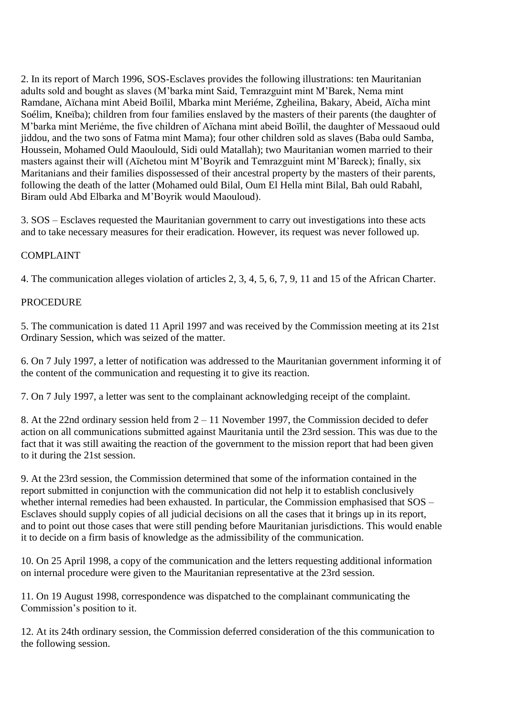2. In its report of March 1996, SOS-Esclaves provides the following illustrations: ten Mauritanian adults sold and bought as slaves (M'barka mint Said, Temrazguint mint M'Barek, Nema mint Ramdane, Aïchana mint Abeid Boïlil, Mbarka mint Meriéme, Zgheilina, Bakary, Abeid, Aïcha mint Soélim, Kneïba); children from four families enslaved by the masters of their parents (the daughter of M'barka mint Meriéme, the five children of Aïchana mint abeid Boïlil, the daughter of Messaoud ould jiddou, and the two sons of Fatma mint Mama); four other children sold as slaves (Baba ould Samba, Houssein, Mohamed Ould Maoulould, Sidi ould Matallah); two Mauritanian women married to their masters against their will (Aïchetou mint M'Boyrik and Temrazguint mint M'Bareck); finally, six Maritanians and their families dispossessed of their ancestral property by the masters of their parents, following the death of the latter (Mohamed ould Bilal, Oum El Hella mint Bilal, Bah ould Rabahl, Biram ould Abd Elbarka and M'Boyrik would Maouloud).

3. SOS – Esclaves requested the Mauritanian government to carry out investigations into these acts and to take necessary measures for their eradication. However, its request was never followed up.

### COMPLAINT

4. The communication alleges violation of articles 2, 3, 4, 5, 6, 7, 9, 11 and 15 of the African Charter.

### PROCEDURE

5. The communication is dated 11 April 1997 and was received by the Commission meeting at its 21st Ordinary Session, which was seized of the matter.

6. On 7 July 1997, a letter of notification was addressed to the Mauritanian government informing it of the content of the communication and requesting it to give its reaction.

7. On 7 July 1997, a letter was sent to the complainant acknowledging receipt of the complaint.

8. At the 22nd ordinary session held from 2 – 11 November 1997, the Commission decided to defer action on all communications submitted against Mauritania until the 23rd session. This was due to the fact that it was still awaiting the reaction of the government to the mission report that had been given to it during the 21st session.

9. At the 23rd session, the Commission determined that some of the information contained in the report submitted in conjunction with the communication did not help it to establish conclusively whether internal remedies had been exhausted. In particular, the Commission emphasised that SOS – Esclaves should supply copies of all judicial decisions on all the cases that it brings up in its report, and to point out those cases that were still pending before Mauritanian jurisdictions. This would enable it to decide on a firm basis of knowledge as the admissibility of the communication.

10. On 25 April 1998, a copy of the communication and the letters requesting additional information on internal procedure were given to the Mauritanian representative at the 23rd session.

11. On 19 August 1998, correspondence was dispatched to the complainant communicating the Commission's position to it.

12. At its 24th ordinary session, the Commission deferred consideration of the this communication to the following session.